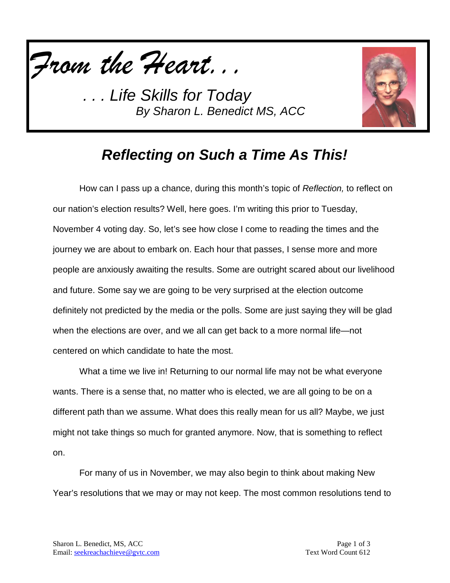



## *Reflecting on Such a Time As This!*

How can I pass up a chance, during this month's topic of *Reflection,* to reflect on our nation's election results? Well, here goes. I'm writing this prior to Tuesday, November 4 voting day. So, let's see how close I come to reading the times and the journey we are about to embark on. Each hour that passes, I sense more and more people are anxiously awaiting the results. Some are outright scared about our livelihood and future. Some say we are going to be very surprised at the election outcome definitely not predicted by the media or the polls. Some are just saying they will be glad when the elections are over, and we all can get back to a more normal life—not centered on which candidate to hate the most.

What a time we live in! Returning to our normal life may not be what everyone wants. There is a sense that, no matter who is elected, we are all going to be on a different path than we assume. What does this really mean for us all? Maybe, we just might not take things so much for granted anymore. Now, that is something to reflect on.

For many of us in November, we may also begin to think about making New Year's resolutions that we may or may not keep. The most common resolutions tend to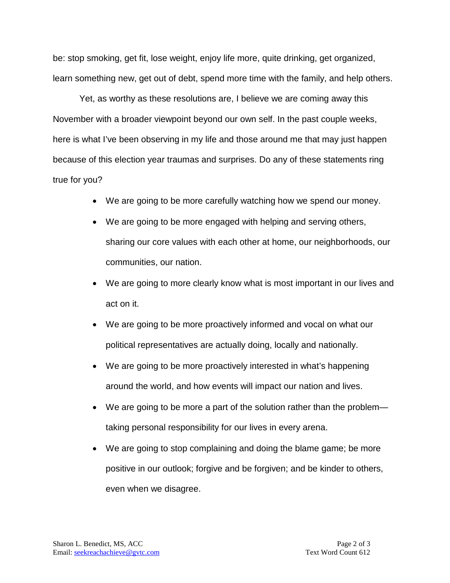be: stop smoking, get fit, lose weight, enjoy life more, quite drinking, get organized, learn something new, get out of debt, spend more time with the family, and help others.

Yet, as worthy as these resolutions are, I believe we are coming away this November with a broader viewpoint beyond our own self. In the past couple weeks, here is what I've been observing in my life and those around me that may just happen because of this election year traumas and surprises. Do any of these statements ring true for you?

- We are going to be more carefully watching how we spend our money.
- We are going to be more engaged with helping and serving others, sharing our core values with each other at home, our neighborhoods, our communities, our nation.
- We are going to more clearly know what is most important in our lives and act on it.
- We are going to be more proactively informed and vocal on what our political representatives are actually doing, locally and nationally.
- We are going to be more proactively interested in what's happening around the world, and how events will impact our nation and lives.
- We are going to be more a part of the solution rather than the problem taking personal responsibility for our lives in every arena.
- We are going to stop complaining and doing the blame game; be more positive in our outlook; forgive and be forgiven; and be kinder to others, even when we disagree.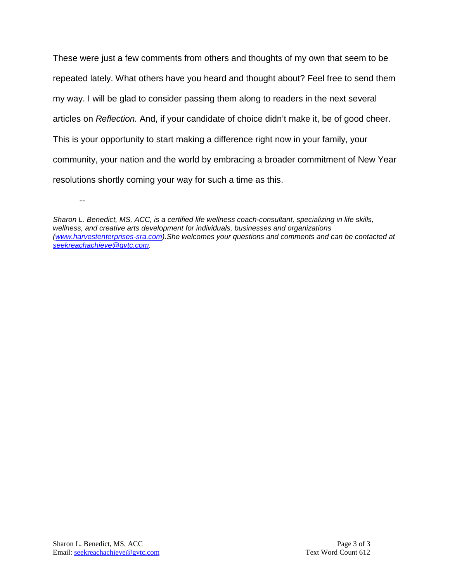These were just a few comments from others and thoughts of my own that seem to be repeated lately. What others have you heard and thought about? Feel free to send them my way. I will be glad to consider passing them along to readers in the next several articles on *Reflection.* And, if your candidate of choice didn't make it, be of good cheer. This is your opportunity to start making a difference right now in your family, your community, your nation and the world by embracing a broader commitment of New Year resolutions shortly coming your way for such a time as this.

--

*Sharon L. Benedict, MS, ACC, is a certified life wellness coach-consultant, specializing in life skills, wellness, and creative arts development for individuals, businesses and organizations [\(www.harvestenterprises-sra.com\)](http://www.harvestenterprises-sra.com/).She welcomes your questions and comments and can be contacted at [seekreachachieve@gvtc.com.](mailto:seekreachachieve@gvtc.com)*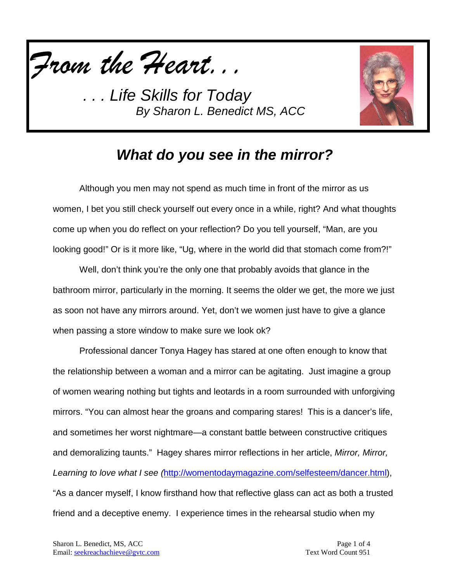



## *What do you see in the mirror?*

Although you men may not spend as much time in front of the mirror as us women, I bet you still check yourself out every once in a while, right? And what thoughts come up when you do reflect on your reflection? Do you tell yourself, "Man, are you looking good!" Or is it more like, "Ug, where in the world did that stomach come from?!"

Well, don't think you're the only one that probably avoids that glance in the bathroom mirror, particularly in the morning. It seems the older we get, the more we just as soon not have any mirrors around. Yet, don't we women just have to give a glance when passing a store window to make sure we look ok?

Professional dancer Tonya Hagey has stared at one often enough to know that the relationship between a woman and a mirror can be agitating. Just imagine a group of women wearing nothing but tights and leotards in a room surrounded with unforgiving mirrors. "You can almost hear the groans and comparing stares! This is a dancer's life, and sometimes her worst nightmare—a constant battle between constructive critiques and demoralizing taunts." Hagey shares mirror reflections in her article, *Mirror, Mirror, Learning to love what I see (*[http://womentodaymagazine.com/selfesteem/dancer.html\)](http://womentodaymagazine.com/selfesteem/dancer.html), "As a dancer myself, I know firsthand how that reflective glass can act as both a trusted friend and a deceptive enemy. I experience times in the rehearsal studio when my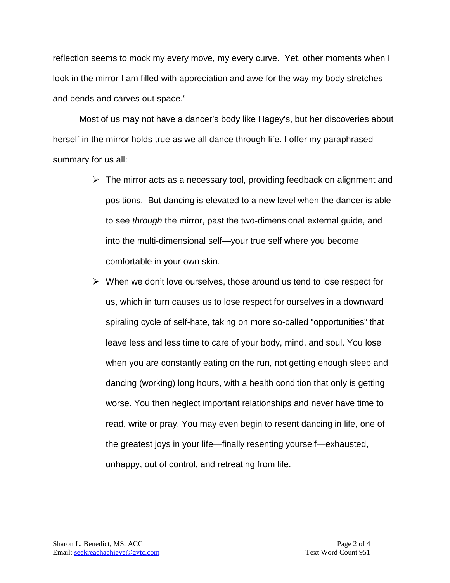reflection seems to mock my every move, my every curve. Yet, other moments when I look in the mirror I am filled with appreciation and awe for the way my body stretches and bends and carves out space."

Most of us may not have a dancer's body like Hagey's, but her discoveries about herself in the mirror holds true as we all dance through life. I offer my paraphrased summary for us all:

- $\triangleright$  The mirror acts as a necessary tool, providing feedback on alignment and positions. But dancing is elevated to a new level when the dancer is able to see *through* the mirror, past the two-dimensional external guide, and into the multi-dimensional self—your true self where you become comfortable in your own skin.
- $\triangleright$  When we don't love ourselves, those around us tend to lose respect for us, which in turn causes us to lose respect for ourselves in a downward spiraling cycle of self-hate, taking on more so-called "opportunities" that leave less and less time to care of your body, mind, and soul. You lose when you are constantly eating on the run, not getting enough sleep and dancing (working) long hours, with a health condition that only is getting worse. You then neglect important relationships and never have time to read, write or pray. You may even begin to resent dancing in life, one of the greatest joys in your life—finally resenting yourself—exhausted, unhappy, out of control, and retreating from life.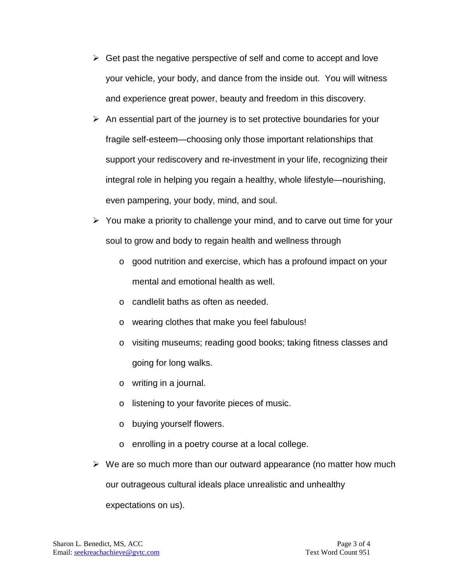- $\triangleright$  Get past the negative perspective of self and come to accept and love your vehicle, your body, and dance from the inside out. You will witness and experience great power, beauty and freedom in this discovery.
- $\triangleright$  An essential part of the journey is to set protective boundaries for your fragile self-esteem—choosing only those important relationships that support your rediscovery and re-investment in your life, recognizing their integral role in helping you regain a healthy, whole lifestyle—nourishing, even pampering, your body, mind, and soul.
- $\triangleright$  You make a priority to challenge your mind, and to carve out time for your soul to grow and body to regain health and wellness through
	- o good nutrition and exercise, which has a profound impact on your mental and emotional health as well.
	- o candlelit baths as often as needed.
	- o wearing clothes that make you feel fabulous!
	- o visiting museums; reading good books; taking fitness classes and going for long walks.
	- o writing in a journal.
	- o listening to your favorite pieces of music.
	- o buying yourself flowers.
	- o enrolling in a poetry course at a local college.
- $\triangleright$  We are so much more than our outward appearance (no matter how much our outrageous cultural ideals place unrealistic and unhealthy expectations on us).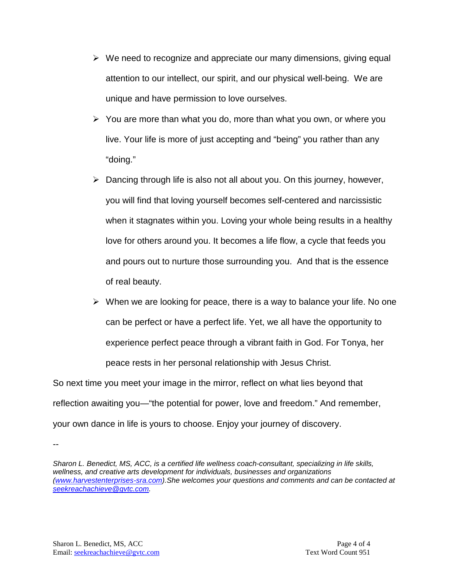- $\triangleright$  We need to recognize and appreciate our many dimensions, giving equal attention to our intellect, our spirit, and our physical well-being. We are unique and have permission to love ourselves.
- $\triangleright$  You are more than what you do, more than what you own, or where you live. Your life is more of just accepting and "being" you rather than any "doing."
- $\triangleright$  Dancing through life is also not all about you. On this journey, however, you will find that loving yourself becomes self-centered and narcissistic when it stagnates within you. Loving your whole being results in a healthy love for others around you. It becomes a life flow, a cycle that feeds you and pours out to nurture those surrounding you. And that is the essence of real beauty.
- $\triangleright$  When we are looking for peace, there is a way to balance your life. No one can be perfect or have a perfect life. Yet, we all have the opportunity to experience perfect peace through a vibrant faith in God. For Tonya, her peace rests in her personal relationship with Jesus Christ.

So next time you meet your image in the mirror, reflect on what lies beyond that reflection awaiting you—"the potential for power, love and freedom." And remember, your own dance in life is yours to choose. Enjoy your journey of discovery.

--

*Sharon L. Benedict, MS, ACC, is a certified life wellness coach-consultant, specializing in life skills, wellness, and creative arts development for individuals, businesses and organizations [\(www.harvestenterprises-sra.com\)](http://www.harvestenterprises-sra.com/).She welcomes your questions and comments and can be contacted at [seekreachachieve@gvtc.com.](mailto:seekreachachieve@gvtc.com)*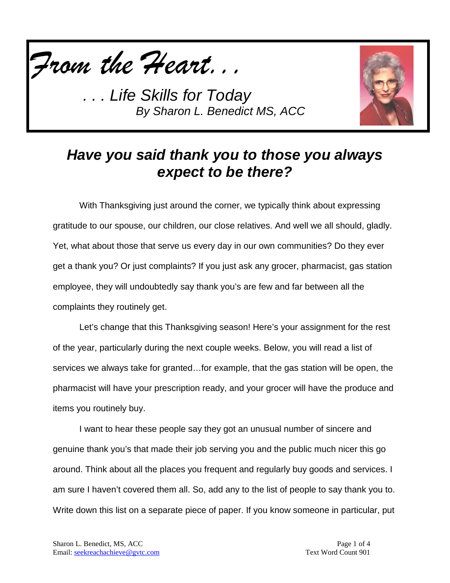



## *Have you said thank you to those you always expect to be there?*

With Thanksgiving just around the corner, we typically think about expressing gratitude to our spouse, our children, our close relatives. And well we all should, gladly. Yet, what about those that serve us every day in our own communities? Do they ever get a thank you? Or just complaints? If you just ask any grocer, pharmacist, gas station employee, they will undoubtedly say thank you's are few and far between all the complaints they routinely get.

Let's change that this Thanksgiving season! Here's your assignment for the rest of the year, particularly during the next couple weeks. Below, you will read a list of services we always take for granted…for example, that the gas station will be open, the pharmacist will have your prescription ready, and your grocer will have the produce and items you routinely buy.

I want to hear these people say they got an unusual number of sincere and genuine thank you's that made their job serving you and the public much nicer this go around. Think about all the places you frequent and regularly buy goods and services. I am sure I haven't covered them all. So, add any to the list of people to say thank you to. Write down this list on a separate piece of paper. If you know someone in particular, put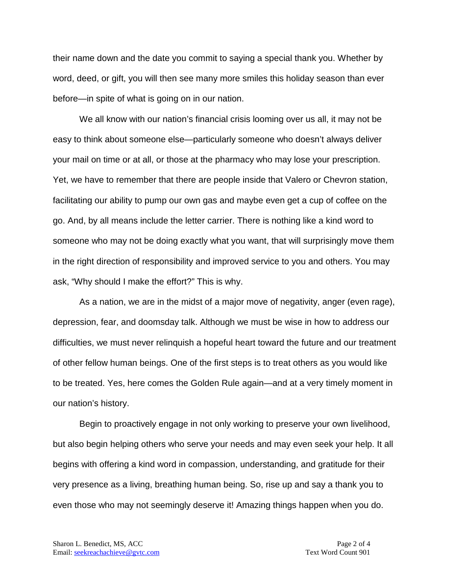their name down and the date you commit to saying a special thank you. Whether by word, deed, or gift, you will then see many more smiles this holiday season than ever before—in spite of what is going on in our nation.

We all know with our nation's financial crisis looming over us all, it may not be easy to think about someone else—particularly someone who doesn't always deliver your mail on time or at all, or those at the pharmacy who may lose your prescription. Yet, we have to remember that there are people inside that Valero or Chevron station, facilitating our ability to pump our own gas and maybe even get a cup of coffee on the go. And, by all means include the letter carrier. There is nothing like a kind word to someone who may not be doing exactly what you want, that will surprisingly move them in the right direction of responsibility and improved service to you and others. You may ask, "Why should I make the effort?" This is why.

As a nation, we are in the midst of a major move of negativity, anger (even rage), depression, fear, and doomsday talk. Although we must be wise in how to address our difficulties, we must never relinquish a hopeful heart toward the future and our treatment of other fellow human beings. One of the first steps is to treat others as you would like to be treated. Yes, here comes the Golden Rule again—and at a very timely moment in our nation's history.

Begin to proactively engage in not only working to preserve your own livelihood, but also begin helping others who serve your needs and may even seek your help. It all begins with offering a kind word in compassion, understanding, and gratitude for their very presence as a living, breathing human being. So, rise up and say a thank you to even those who may not seemingly deserve it! Amazing things happen when you do.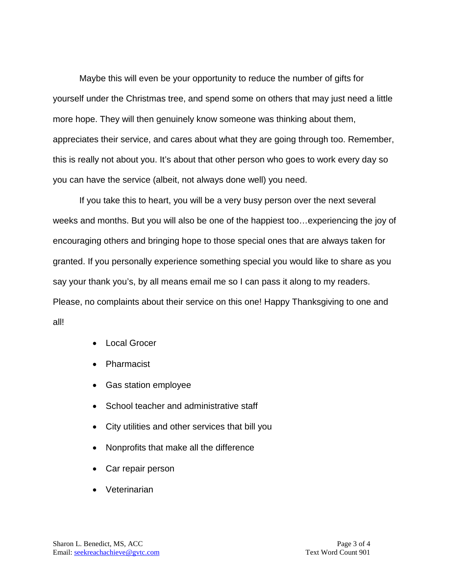Maybe this will even be your opportunity to reduce the number of gifts for yourself under the Christmas tree, and spend some on others that may just need a little more hope. They will then genuinely know someone was thinking about them, appreciates their service, and cares about what they are going through too. Remember, this is really not about you. It's about that other person who goes to work every day so you can have the service (albeit, not always done well) you need.

If you take this to heart, you will be a very busy person over the next several weeks and months. But you will also be one of the happiest too…experiencing the joy of encouraging others and bringing hope to those special ones that are always taken for granted. If you personally experience something special you would like to share as you say your thank you's, by all means email me so I can pass it along to my readers. Please, no complaints about their service on this one! Happy Thanksgiving to one and all!

- Local Grocer
- Pharmacist
- Gas station employee
- School teacher and administrative staff
- City utilities and other services that bill you
- Nonprofits that make all the difference
- Car repair person
- Veterinarian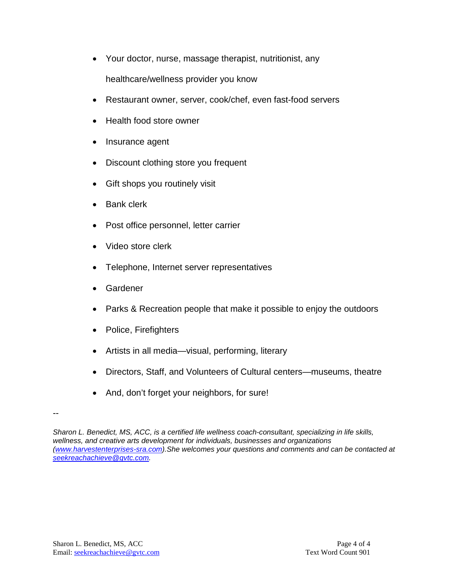- Your doctor, nurse, massage therapist, nutritionist, any healthcare/wellness provider you know
- Restaurant owner, server, cook/chef, even fast-food servers
- Health food store owner
- Insurance agent
- Discount clothing store you frequent
- Gift shops you routinely visit
- Bank clerk
- Post office personnel, letter carrier
- Video store clerk
- Telephone, Internet server representatives
- Gardener
- Parks & Recreation people that make it possible to enjoy the outdoors
- Police, Firefighters
- Artists in all media—visual, performing, literary
- Directors, Staff, and Volunteers of Cultural centers—museums, theatre
- And, don't forget your neighbors, for sure!

<sup>--</sup>

*Sharon L. Benedict, MS, ACC, is a certified life wellness coach-consultant, specializing in life skills, wellness, and creative arts development for individuals, businesses and organizations [\(www.harvestenterprises-sra.com\)](http://www.harvestenterprises-sra.com/).She welcomes your questions and comments and can be contacted at [seekreachachieve@gvtc.com.](mailto:seekreachachieve@gvtc.com)*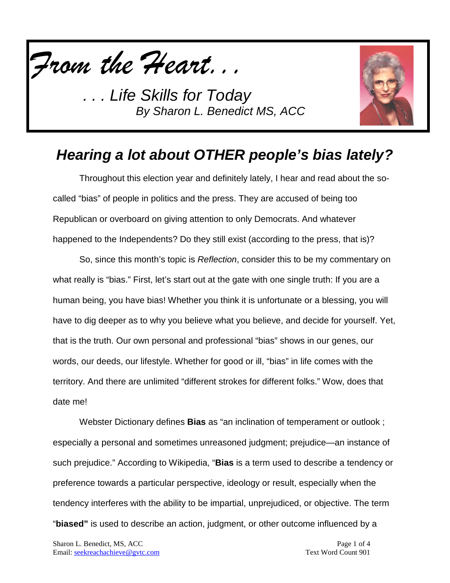



## *Hearing a lot about OTHER people's bias lately?*

Throughout this election year and definitely lately, I hear and read about the socalled "bias" of people in politics and the press. They are accused of being too Republican or overboard on giving attention to only Democrats. And whatever happened to the Independents? Do they still exist (according to the press, that is)?

So, since this month's topic is *Reflection*, consider this to be my commentary on what really is "bias." First, let's start out at the gate with one single truth: If you are a human being, you have bias! Whether you think it is unfortunate or a blessing, you will have to dig deeper as to why you believe what you believe, and decide for yourself. Yet, that is the truth. Our own personal and professional "bias" shows in our genes, our words, our deeds, our lifestyle. Whether for good or ill, "bias" in life comes with the territory. And there are unlimited "different strokes for different folks." Wow, does that date me!

Webster Dictionary defines **Bias** as "an inclination of temperament or outlook ; especially a personal and sometimes unreasoned judgment; prejudice—an instance of such prejudice." According to Wikipedia, "**Bias** is a term used to describe a tendency or preference towards a particular perspective, ideology or result, especially when the tendency interferes with the ability to be impartial, unprejudiced, or objective. The term "**biased"** is used to describe an action, judgment, or other outcome influenced by a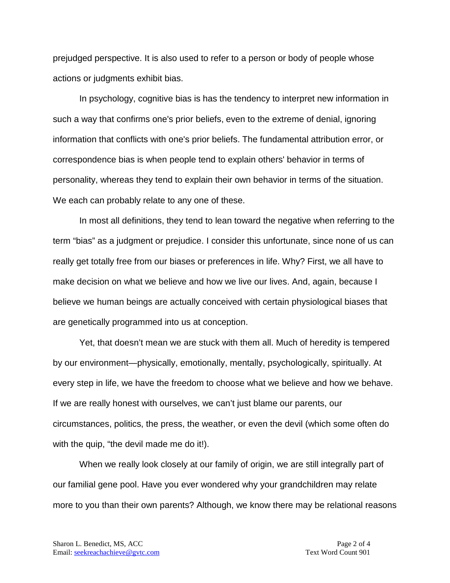prejudged perspective. It is also used to refer to a person or body of people whose actions or judgments exhibit bias.

In psychology, cognitive bias is has the tendency to interpret new information in such a way that confirms one's prior beliefs, even to the extreme of denial, ignoring information that conflicts with one's prior beliefs. The fundamental attribution error, or correspondence bias is when people tend to explain others' behavior in terms of personality, whereas they tend to explain their own behavior in terms of the situation. We each can probably relate to any one of these.

In most all definitions, they tend to lean toward the negative when referring to the term "bias" as a judgment or prejudice. I consider this unfortunate, since none of us can really get totally free from our biases or preferences in life. Why? First, we all have to make decision on what we believe and how we live our lives. And, again, because I believe we human beings are actually conceived with certain physiological biases that are genetically programmed into us at conception.

Yet, that doesn't mean we are stuck with them all. Much of heredity is tempered by our environment—physically, emotionally, mentally, psychologically, spiritually. At every step in life, we have the freedom to choose what we believe and how we behave. If we are really honest with ourselves, we can't just blame our parents, our circumstances, politics, the press, the weather, or even the devil (which some often do with the quip, "the devil made me do it!).

When we really look closely at our family of origin, we are still integrally part of our familial gene pool. Have you ever wondered why your grandchildren may relate more to you than their own parents? Although, we know there may be relational reasons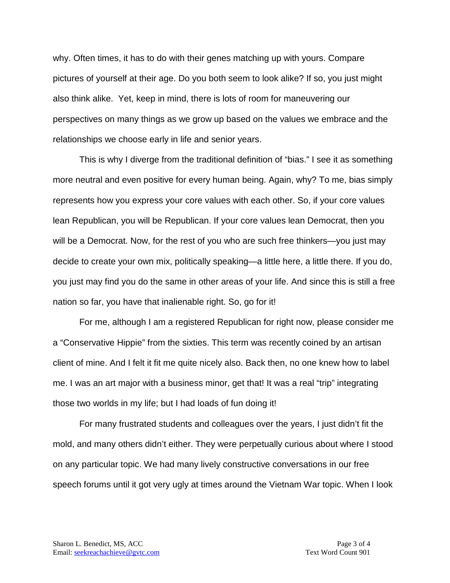why. Often times, it has to do with their genes matching up with yours. Compare pictures of yourself at their age. Do you both seem to look alike? If so, you just might also think alike. Yet, keep in mind, there is lots of room for maneuvering our perspectives on many things as we grow up based on the values we embrace and the relationships we choose early in life and senior years.

This is why I diverge from the traditional definition of "bias." I see it as something more neutral and even positive for every human being. Again, why? To me, bias simply represents how you express your core values with each other. So, if your core values lean Republican, you will be Republican. If your core values lean Democrat, then you will be a Democrat. Now, for the rest of you who are such free thinkers—you just may decide to create your own mix, politically speaking—a little here, a little there. If you do, you just may find you do the same in other areas of your life. And since this is still a free nation so far, you have that inalienable right. So, go for it!

For me, although I am a registered Republican for right now, please consider me a "Conservative Hippie" from the sixties. This term was recently coined by an artisan client of mine. And I felt it fit me quite nicely also. Back then, no one knew how to label me. I was an art major with a business minor, get that! It was a real "trip" integrating those two worlds in my life; but I had loads of fun doing it!

For many frustrated students and colleagues over the years, I just didn't fit the mold, and many others didn't either. They were perpetually curious about where I stood on any particular topic. We had many lively constructive conversations in our free speech forums until it got very ugly at times around the Vietnam War topic. When I look